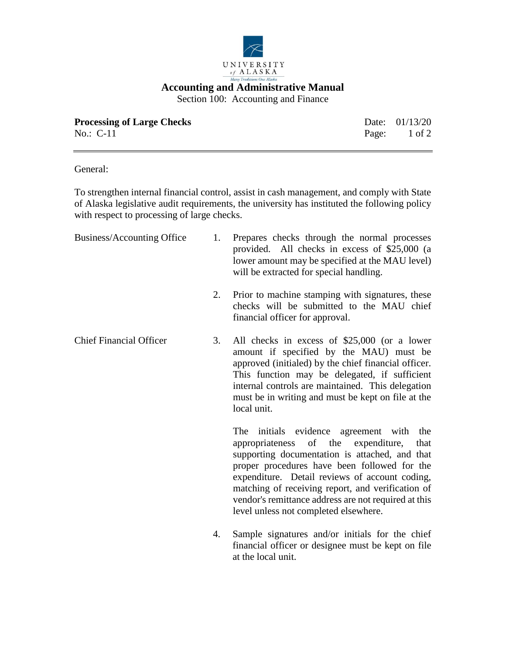

## **Accounting and Administrative Manual**

Section 100: Accounting and Finance

| <b>Processing of Large Checks</b> | Date: $01/13/20$        |
|-----------------------------------|-------------------------|
| $No.: C-11$                       | Page: $1 \text{ of } 2$ |

General:

To strengthen internal financial control, assist in cash management, and comply with State of Alaska legislative audit requirements, the university has instituted the following policy with respect to processing of large checks.

| Business/Accounting Office     |    | Prepares checks through the normal processes<br>provided. All checks in excess of \$25,000 (a<br>lower amount may be specified at the MAU level)<br>will be extracted for special handling.                                                                                                                                                                                                       |
|--------------------------------|----|---------------------------------------------------------------------------------------------------------------------------------------------------------------------------------------------------------------------------------------------------------------------------------------------------------------------------------------------------------------------------------------------------|
|                                | 2. | Prior to machine stamping with signatures, these<br>checks will be submitted to the MAU chief<br>financial officer for approval.                                                                                                                                                                                                                                                                  |
| <b>Chief Financial Officer</b> | 3. | All checks in excess of \$25,000 (or a lower<br>amount if specified by the MAU) must be<br>approved (initialed) by the chief financial officer.<br>This function may be delegated, if sufficient<br>internal controls are maintained. This delegation<br>must be in writing and must be kept on file at the<br>local unit.                                                                        |
|                                |    | The initials evidence agreement with the<br>appropriateness of the expenditure,<br>that<br>supporting documentation is attached, and that<br>proper procedures have been followed for the<br>expenditure. Detail reviews of account coding,<br>matching of receiving report, and verification of<br>vendor's remittance address are not required at this<br>level unless not completed elsewhere. |
|                                | 4. | Sample signatures and/or initials for the chief<br>financial officer or designee must be kept on file                                                                                                                                                                                                                                                                                             |

at the local unit.